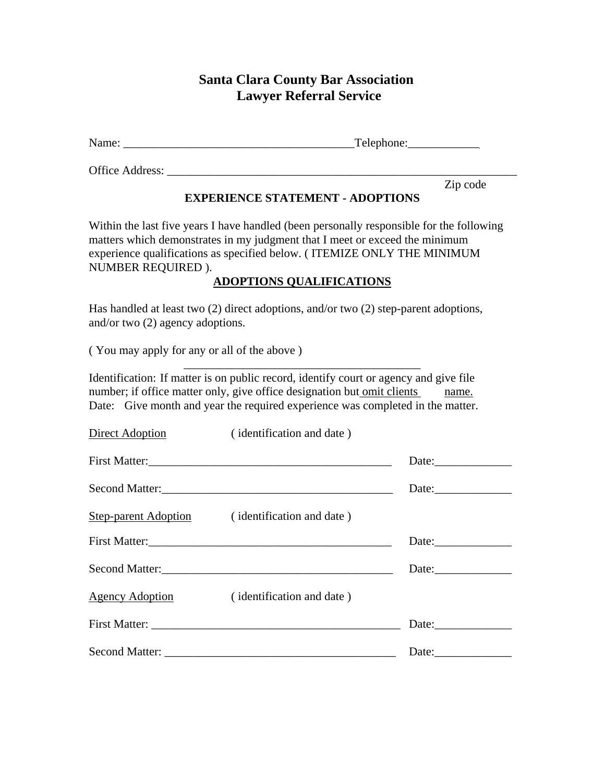## **Santa Clara County Bar Association Lawyer Referral Service**

Name: Telephone:

Office Address: \_\_\_\_\_\_\_\_\_\_\_\_\_\_\_\_\_\_\_\_\_\_\_\_\_\_\_\_\_\_\_\_\_\_\_\_\_\_\_\_\_\_\_\_\_\_\_\_\_\_\_\_\_\_\_\_\_\_\_

Zip code

## **EXPERIENCE STATEMENT - ADOPTIONS**

Within the last five years I have handled (been personally responsible for the following matters which demonstrates in my judgment that I meet or exceed the minimum experience qualifications as specified below. ( ITEMIZE ONLY THE MINIMUM NUMBER REQUIRED ).

## **ADOPTIONS QUALIFICATIONS**

\_\_\_\_\_\_\_\_\_\_\_\_\_\_\_\_\_\_\_\_\_\_\_\_\_\_\_\_\_\_\_\_\_\_\_\_\_\_\_\_

Has handled at least two (2) direct adoptions, and/or two (2) step-parent adoptions, and/or two (2) agency adoptions.

( You may apply for any or all of the above )

Identification: If matter is on public record, identify court or agency and give file number; if office matter only, give office designation but omit clients name. Date: Give month and year the required experience was completed in the matter.

| Direct Adoption<br>(identification and date) |
|----------------------------------------------|
|----------------------------------------------|

|                                                | First Matter:             | Date:              |
|------------------------------------------------|---------------------------|--------------------|
|                                                | Second Matter:            |                    |
| Step-parent Adoption (identification and date) |                           |                    |
|                                                |                           |                    |
|                                                |                           | Date:              |
| <b>Agency Adoption</b>                         | (identification and date) |                    |
|                                                |                           | Date: <u>Date:</u> |
|                                                |                           | Date:              |